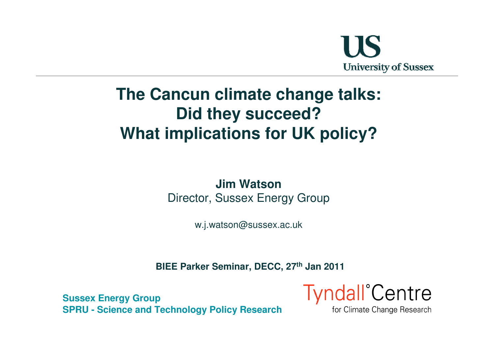

# **The Cancun climate change talks:Did they succeed?What implications for UK policy?**

#### **Jim Watson**Director, Sussex Energy Group

w.j.watson@sussex.ac.uk

**BIEE Parker Seminar, DECC, 27th Jan 2011**

**Sussex Energy GroupSPRU - Science and Technology Policy Research**

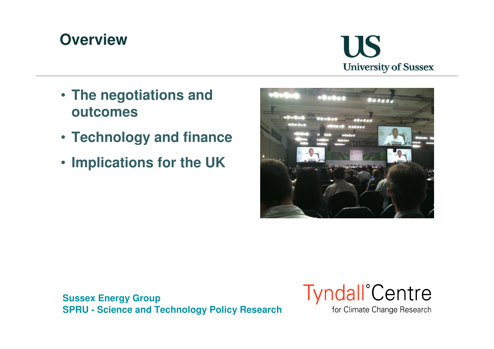# **Overview**



- **The negotiations and outcomes**
- **Technology and finance**
- **Implications for the UK**



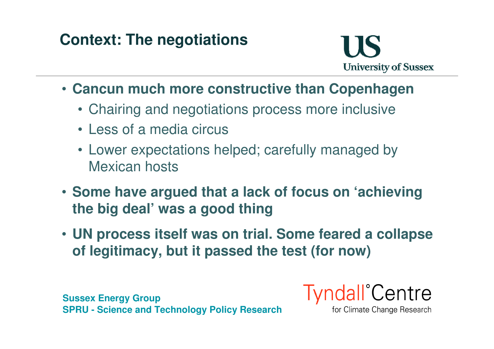# **Context: The negotiations**



- **Cancun much more constructive than Copenhagen**
	- Chairing and negotiations process more inclusive
	- Less of a media circus
	- Lower expectations helped; carefully managed by Mexican hosts
- **Some have argued that a lack of focus on 'achievingthe big deal' was a good thing**
- **UN process itself was on trial. Some feared a collapse of legitimacy, but it passed the test (for now)**

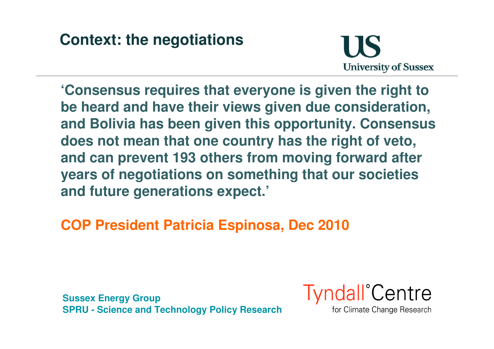# **Context: the negotiations**



**'Consensus requires that everyone is given the right to be heard and have their views given due consideration, and Bolivia has been given this opportunity. Consensus does not mean that one country has the right of veto, and can prevent 193 others from moving forward after years of negotiations on something that our societies and future generations expect.'**

#### **COP President Patricia Espinosa, Dec 2010**

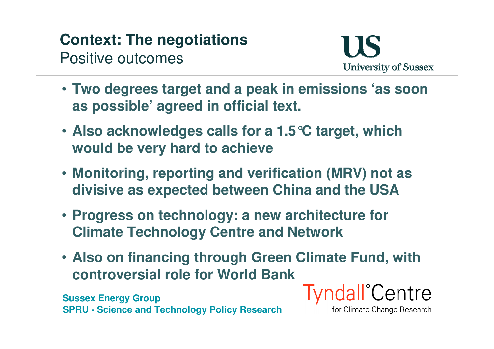# **Context: The negotiations**Positive outcomes



- **Two degrees target and a peak in emissions 'as soonas possible' agreed in official text.**
- **Also acknowledges calls for a 1.5°C target, which would be very hard to achieve**
- **Monitoring, reporting and verification (MRV) not asdivisive as expected between China and the USA**
- **Progress on technology: a new architecture for Climate Technology Centre and Network**
- **Also on financing through Green Climate Fund, with controversial role for World Bank**

**Sussex Energy GroupSPRU - Science and Technology Policy Research** **Tyndall**<sup>°</sup>Centre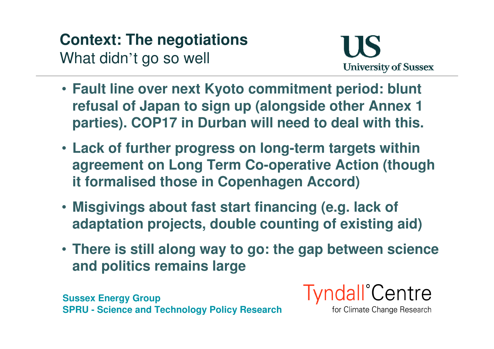# **Context: The negotiations**What didn't go so well



- **Fault line over next Kyoto commitment period: blunt refusal of Japan to sign up (alongside other Annex 1 parties). COP17 in Durban will need to deal with this.**
- **Lack of further progress on long-term targets within agreement on Long Term Co-operative Action (though it formalised those in Copenhagen Accord)**
- **Misgivings about fast start financing (e.g. lack of adaptation projects, double counting of existing aid)**
- **There is still along way to go: the gap between science and politics remains large**

**Sussex Energy GroupSPRU - Science and Technology Policy Research**

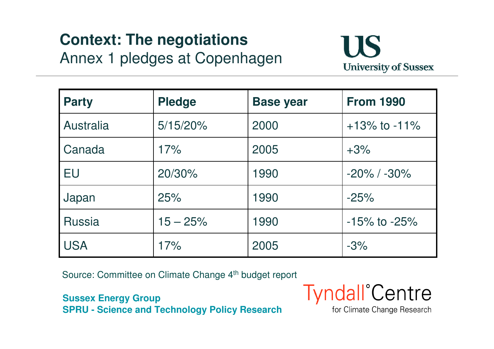# **Context: The negotiations**Annex 1 pledges at Copenhagen



| <b>Party</b>     | <b>Pledge</b> | <b>Base year</b> | <b>From 1990</b>   |
|------------------|---------------|------------------|--------------------|
| <b>Australia</b> | $5/15/20\%$   | 2000             | $+13\%$ to $-11\%$ |
| Canada           | 17%           | 2005             | $+3%$              |
| <b>EU</b>        | 20/30%        | 1990             | $-20\%$ / $-30\%$  |
| Japan            | 25%           | 1990             | $-25%$             |
| <b>Russia</b>    | $15 - 25%$    | 1990             | $-15\%$ to $-25\%$ |
| <b>USA</b>       | 17%           | 2005             | $-3%$              |

Source: Committee on Climate Change 4<sup>th</sup> budget report

**Sussex Energy GroupSPRU - Science and Technology Policy Research**

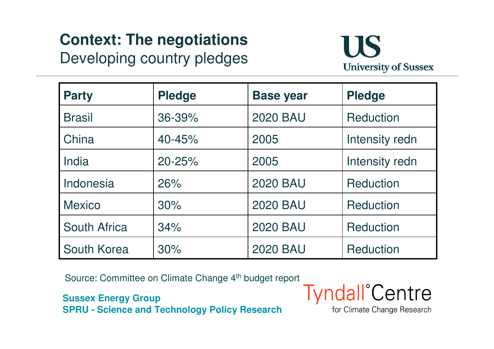# **Context: The negotiations**Developing country pledges



| <b>Party</b>        | <b>Pledge</b> | <b>Base year</b> | <b>Pledge</b>    |
|---------------------|---------------|------------------|------------------|
| <b>Brasil</b>       | 36-39%        | <b>2020 BAU</b>  | <b>Reduction</b> |
| China               | 40-45%        | 2005             | Intensity redn   |
| India               | $20 - 25%$    | 2005             | Intensity redn   |
| Indonesia           | 26%           | <b>2020 BAU</b>  | <b>Reduction</b> |
| <b>Mexico</b>       | 30%           | <b>2020 BAU</b>  | <b>Reduction</b> |
| <b>South Africa</b> | 34%           | <b>2020 BAU</b>  | <b>Reduction</b> |
| South Korea         | 30%           | <b>2020 BAU</b>  | <b>Reduction</b> |

Source: Committee on Climate Change 4<sup>th</sup> budget report

**Sussex Energy GroupSPRU - Science and Technology Policy Research**

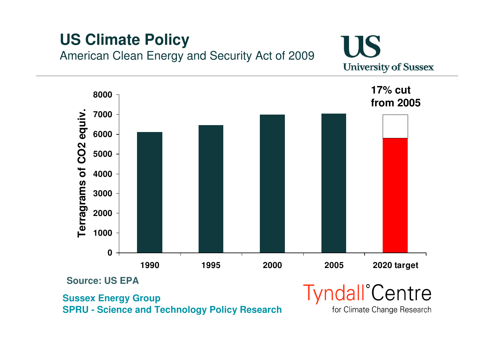### **US Climate Policy**American Clean Energy and Security Act of 2009

IIS **University of Sussex** 

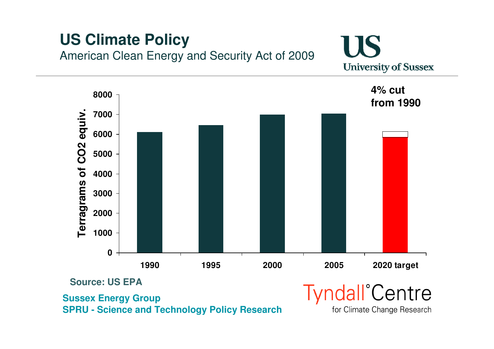### **US Climate Policy**American Clean Energy and Security Act of 2009

IIS **University of Sussex** 

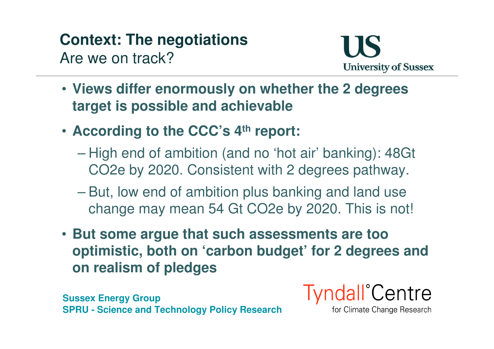#### **Context: The negotiations**Are we on track?



- **Views differ enormously on whether the 2 degrees target is possible and achievable**
- **According to the CCC's 4th report:**
	- High end of ambition (and no 'hot air' banking): 48Gt CO2e by 2020. Consistent with 2 degrees pathway.
	- – But, low end of ambition plus banking and land usechange may mean 54 Gt CO2e by 2020. This is not!
- **But some argue that such assessments are too optimistic, both on 'carbon budget' for 2 degrees and on realism of pledges**

**Sussex Energy GroupSPRU - Science and Technology Policy Research**

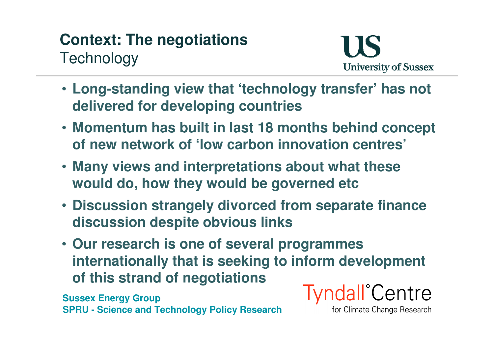# **Context: The negotiationsTechnology**



- **Long-standing view that 'technology transfer' has not delivered for developing countries**
- **Momentum has built in last 18 months behind concept of new network of 'low carbon innovation centres'**
- **Many views and interpretations about what these would do, how they would be governed etc**
- **Discussion strangely divorced from separate financediscussion despite obvious links**
- **Our research is one of several programmes internationally that is seeking to inform development of this strand of negotiations**

**Sussex Energy GroupSPRU - Science and Technology Policy Research**

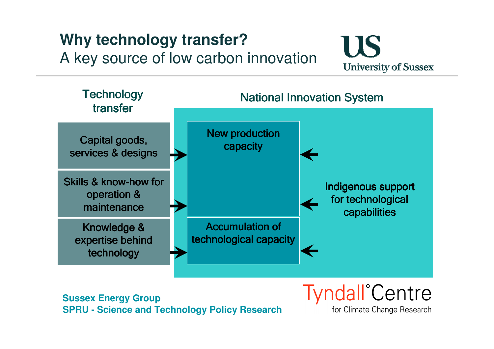# **Why technology transfer?** A key source of low carbon innovation





**Sussex Energy GroupSPRU - Science and Technology Policy Research**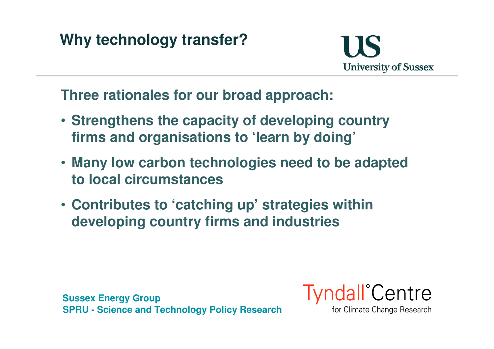# **Why technology transfer?**



**Three rationales for our broad approach:**

- **Strengthens the capacity of developing country firms and organisations to 'learn by doing'**
- **Many low carbon technologies need to be adapted to local circumstances**
- **Contributes to 'catching up' strategies within developing country firms and industries**

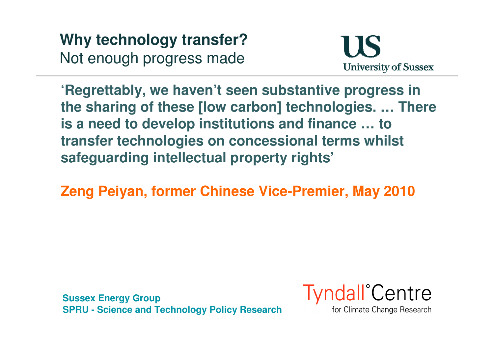**Why technology transfer?**Not enough progress made



**'Regrettably, we haven't seen substantive progress in the sharing of these [low carbon] technologies. … There is a need to develop institutions and finance … to transfer technologies on concessional terms whilst safeguarding intellectual property rights'**

**Zeng Peiyan, former Chinese Vice-Premier, May 2010**

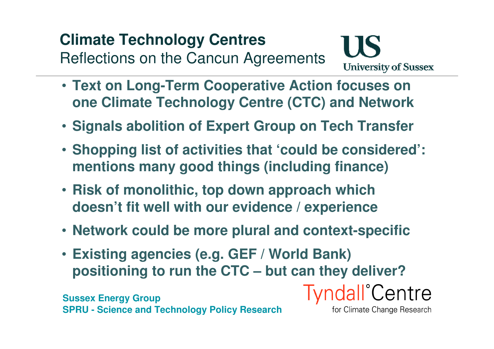# **Climate Technology Centres**

Reflections on the Cancun Agreements



- **Text on Long-Term Cooperative Action focuses on one Climate Technology Centre (CTC) and Network**
- **Signals abolition of Expert Group on Tech Transfer**
- **Shopping list of activities that 'could be considered': mentions many good things (including finance)**
- **Risk of monolithic, top down approach which doesn't fit well with our evidence / experience**
- **Network could be more plural and context-specific**
- **Existing agencies (e.g. GEF / World Bank) positioning to run the CTC – but can they deliver?**

**Sussex Energy GroupSPRU - Science and Technology Policy Research**

for Climate Change Research

**Tyndall**<sup>°</sup>Centre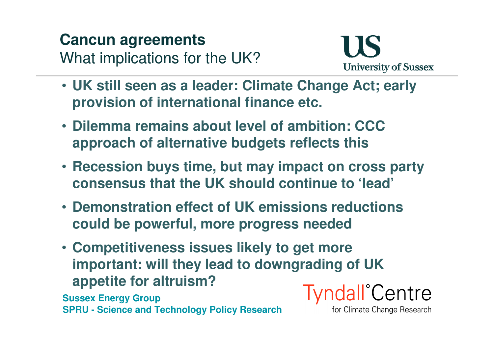# **Cancun agreements**What implications for the UK?



- **UK still seen as a leader: Climate Change Act; early provision of international finance etc.**
- **Dilemma remains about level of ambition: CCC approach of alternative budgets reflects this**
- **Recession buys time, but may impact on cross party consensus that the UK should continue to 'lead'**
- **Demonstration effect of UK emissions reductions could be powerful, more progress needed**
- **Competitiveness issues likely to get more important: will they lead to downgrading of UK appetite for altruism?Tyndall**<sup>°</sup>Centre

**Sussex Energy GroupSPRU - Science and Technology Policy Research**